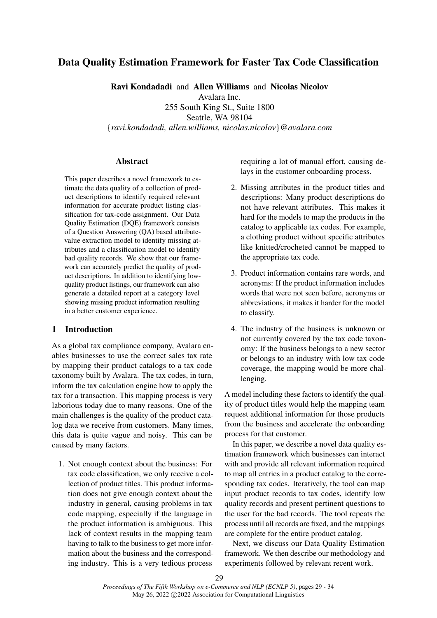# Data Quality Estimation Framework for Faster Tax Code Classification

Ravi Kondadadi and Allen Williams and Nicolas Nicolov

Avalara Inc.

255 South King St., Suite 1800 Seattle, WA 98104 {*ravi.kondadadi, allen.williams, nicolas.nicolov*}@*avalara.com*

### **Abstract**

This paper describes a novel framework to estimate the data quality of a collection of product descriptions to identify required relevant information for accurate product listing classification for tax-code assignment. Our Data Quality Estimation (DQE) framework consists of a Question Answering (QA) based attributevalue extraction model to identify missing attributes and a classification model to identify bad quality records. We show that our framework can accurately predict the quality of product descriptions. In addition to identifying lowquality product listings, our framework can also generate a detailed report at a category level showing missing product information resulting in a better customer experience.

### 1 Introduction

As a global tax compliance company, Avalara enables businesses to use the correct sales tax rate by mapping their product catalogs to a tax code taxonomy built by Avalara. The tax codes, in turn, inform the tax calculation engine how to apply the tax for a transaction. This mapping process is very laborious today due to many reasons. One of the main challenges is the quality of the product catalog data we receive from customers. Many times, this data is quite vague and noisy. This can be caused by many factors.

1. Not enough context about the business: For tax code classification, we only receive a collection of product titles. This product information does not give enough context about the industry in general, causing problems in tax code mapping, especially if the language in the product information is ambiguous. This lack of context results in the mapping team having to talk to the business to get more information about the business and the corresponding industry. This is a very tedious process

requiring a lot of manual effort, causing delays in the customer onboarding process.

- 2. Missing attributes in the product titles and descriptions: Many product descriptions do not have relevant attributes. This makes it hard for the models to map the products in the catalog to applicable tax codes. For example, a clothing product without specific attributes like knitted/crocheted cannot be mapped to the appropriate tax code.
- 3. Product information contains rare words, and acronyms: If the product information includes words that were not seen before, acronyms or abbreviations, it makes it harder for the model to classify.
- 4. The industry of the business is unknown or not currently covered by the tax code taxonomy: If the business belongs to a new sector or belongs to an industry with low tax code coverage, the mapping would be more challenging.

A model including these factors to identify the quality of product titles would help the mapping team request additional information for those products from the business and accelerate the onboarding process for that customer.

In this paper, we describe a novel data quality estimation framework which businesses can interact with and provide all relevant information required to map all entries in a product catalog to the corresponding tax codes. Iteratively, the tool can map input product records to tax codes, identify low quality records and present pertinent questions to the user for the bad records. The tool repeats the process until all records are fixed, and the mappings are complete for the entire product catalog.

Next, we discuss our Data Quality Estimation framework. We then describe our methodology and experiments followed by relevant recent work.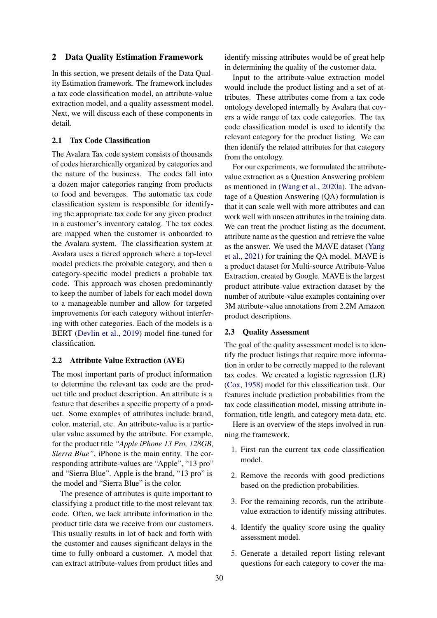#### 2 Data Quality Estimation Framework

In this section, we present details of the Data Quality Estimation framework. The framework includes a tax code classification model, an attribute-value extraction model, and a quality assessment model. Next, we will discuss each of these components in detail.

### 2.1 Tax Code Classification

The Avalara Tax code system consists of thousands of codes hierarchically organized by categories and the nature of the business. The codes fall into a dozen major categories ranging from products to food and beverages. The automatic tax code classification system is responsible for identifying the appropriate tax code for any given product in a customer's inventory catalog. The tax codes are mapped when the customer is onboarded to the Avalara system. The classification system at Avalara uses a tiered approach where a top-level model predicts the probable category, and then a category-specific model predicts a probable tax code. This approach was chosen predominantly to keep the number of labels for each model down to a manageable number and allow for targeted improvements for each category without interfering with other categories. Each of the models is a BERT [\(Devlin et al.,](#page-4-0) [2019\)](#page-4-0) model fine-tuned for classification.

### 2.2 Attribute Value Extraction (AVE)

The most important parts of product information to determine the relevant tax code are the product title and product description. An attribute is a feature that describes a specific property of a product. Some examples of attributes include brand, color, material, etc. An attribute-value is a particular value assumed by the attribute. For example, for the product title *"Apple iPhone 13 Pro, 128GB, Sierra Blue"*, iPhone is the main entity. The corresponding attribute-values are "Apple", "13 pro" and "Sierra Blue". Apple is the brand, "13 pro" is the model and "Sierra Blue" is the color.

The presence of attributes is quite important to classifying a product title to the most relevant tax code. Often, we lack attribute information in the product title data we receive from our customers. This usually results in lot of back and forth with the customer and causes significant delays in the time to fully onboard a customer. A model that can extract attribute-values from product titles and

identify missing attributes would be of great help in determining the quality of the customer data.

Input to the attribute-value extraction model would include the product listing and a set of attributes. These attributes come from a tax code ontology developed internally by Avalara that covers a wide range of tax code categories. The tax code classification model is used to identify the relevant category for the product listing. We can then identify the related attributes for that category from the ontology.

For our experiments, we formulated the attributevalue extraction as a Question Answering problem as mentioned in [\(Wang et al.,](#page-4-1) [2020a\)](#page-4-1). The advantage of a Question Answering (QA) formulation is that it can scale well with more attributes and can work well with unseen attributes in the training data. We can treat the product listing as the document, attribute name as the question and retrieve the value as the answer. We used the MAVE dataset [\(Yang](#page-5-0) [et al.,](#page-5-0) [2021\)](#page-5-0) for training the QA model. MAVE is a product dataset for Multi-source Attribute-Value Extraction, created by Google. MAVE is the largest product attribute-value extraction dataset by the number of attribute-value examples containing over 3M attribute-value annotations from 2.2M Amazon product descriptions.

### 2.3 Quality Assessment

The goal of the quality assessment model is to identify the product listings that require more information in order to be correctly mapped to the relevant tax codes. We created a logistic regression (LR) [\(Cox,](#page-4-2) [1958\)](#page-4-2) model for this classification task. Our features include prediction probabilities from the tax code classification model, missing attribute information, title length, and category meta data, etc.

Here is an overview of the steps involved in running the framework.

- 1. First run the current tax code classification model.
- 2. Remove the records with good predictions based on the prediction probabilities.
- 3. For the remaining records, run the attributevalue extraction to identify missing attributes.
- 4. Identify the quality score using the quality assessment model.
- 5. Generate a detailed report listing relevant questions for each category to cover the ma-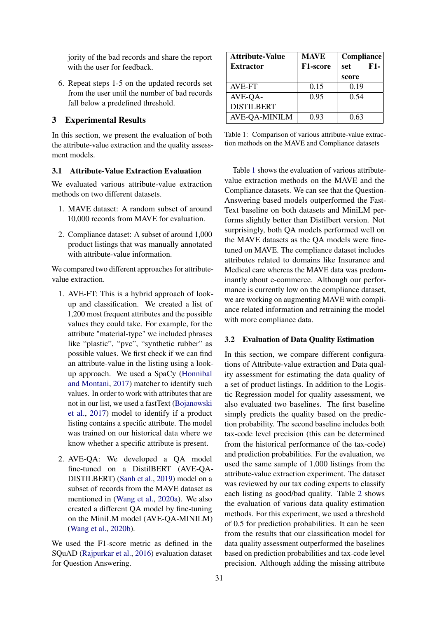jority of the bad records and share the report with the user for feedback.

6. Repeat steps 1-5 on the updated records set from the user until the number of bad records fall below a predefined threshold.

### 3 Experimental Results

In this section, we present the evaluation of both the attribute-value extraction and the quality assessment models.

### 3.1 Attribute-Value Extraction Evaluation

We evaluated various attribute-value extraction methods on two different datasets.

- 1. MAVE dataset: A random subset of around 10,000 records from MAVE for evaluation.
- 2. Compliance dataset: A subset of around 1,000 product listings that was manually annotated with attribute-value information.

We compared two different approaches for attributevalue extraction.

- 1. AVE-FT: This is a hybrid approach of lookup and classification. We created a list of 1,200 most frequent attributes and the possible values they could take. For example, for the attribute "material-type" we included phrases like "plastic", "pvc", "synthetic rubber" as possible values. We first check if we can find an attribute-value in the listing using a lookup approach. We used a SpaCy [\(Honnibal](#page-4-3) [and Montani,](#page-4-3) [2017\)](#page-4-3) matcher to identify such values. In order to work with attributes that are not in our list, we used a fastText [\(Bojanowski](#page-4-4) [et al.,](#page-4-4) [2017\)](#page-4-4) model to identify if a product listing contains a specific attribute. The model was trained on our historical data where we know whether a specific attribute is present.
- 2. AVE-QA: We developed a QA model fine-tuned on a DistilBERT (AVE-QA-DISTILBERT) [\(Sanh et al.,](#page-4-5) [2019\)](#page-4-5) model on a subset of records from the MAVE dataset as mentioned in [\(Wang et al.,](#page-4-1) [2020a\)](#page-4-1). We also created a different QA model by fine-tuning on the MiniLM model (AVE-QA-MINILM) [\(Wang et al.,](#page-4-6) [2020b\)](#page-4-6).

We used the F1-score metric as defined in the SQuAD [\(Rajpurkar et al.,](#page-4-7) [2016\)](#page-4-7) evaluation dataset for Question Answering.

<span id="page-2-0"></span>

| <b>Attribute-Value</b> | <b>MAVE</b> | Compliance   |
|------------------------|-------------|--------------|
| <b>Extractor</b>       | F1-score    | $F1-$<br>set |
|                        |             | score        |
| AVE-FT                 | 0.15        | 0.19         |
| AVE-QA-                | 0.95        | 0.54         |
| <b>DISTILBERT</b>      |             |              |
| <b>AVE-QA-MINILM</b>   | 0.93        | 0.63         |

Table 1: Comparison of various attribute-value extraction methods on the MAVE and Compliance datasets

Table [1](#page-2-0) shows the evaluation of various attributevalue extraction methods on the MAVE and the Compliance datasets. We can see that the Question-Answering based models outperformed the Fast-Text baseline on both datasets and MiniLM performs slightly better than Distilbert version. Not surprisingly, both QA models performed well on the MAVE datasets as the QA models were finetuned on MAVE. The compliance dataset includes attributes related to domains like Insurance and Medical care whereas the MAVE data was predominantly about e-commerce. Although our performance is currently low on the compliance dataset, we are working on augmenting MAVE with compliance related information and retraining the model with more compliance data.

#### 3.2 Evaluation of Data Quality Estimation

In this section, we compare different configurations of Attribute-value extraction and Data quality assessment for estimating the data quality of a set of product listings. In addition to the Logistic Regression model for quality assessment, we also evaluated two baselines. The first baseline simply predicts the quality based on the prediction probability. The second baseline includes both tax-code level precision (this can be determined from the historical performance of the tax-code) and prediction probabilities. For the evaluation, we used the same sample of 1,000 listings from the attribute-value extraction experiment. The dataset was reviewed by our tax coding experts to classify each listing as good/bad quality. Table [2](#page-3-0) shows the evaluation of various data quality estimation methods. For this experiment, we used a threshold of 0.5 for prediction probabilities. It can be seen from the results that our classification model for data quality assessment outperformed the baselines based on prediction probabilities and tax-code level precision. Although adding the missing attribute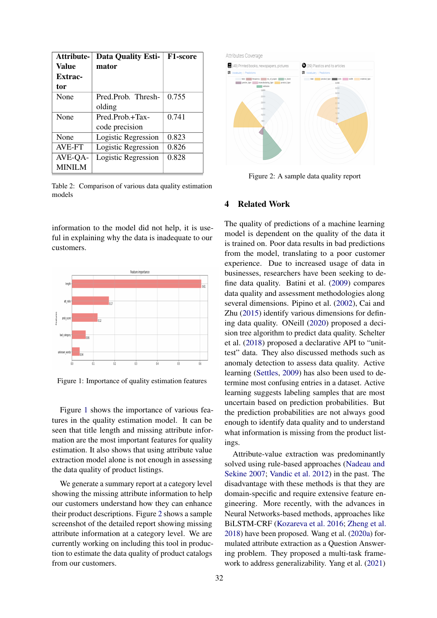<span id="page-3-0"></span>

| Attribute-    | <b>Data Quality Esti-</b> | F1-score |
|---------------|---------------------------|----------|
| Value         | mator                     |          |
| Extrac-       |                           |          |
| tor           |                           |          |
| None          | Pred.Prob. Thresh-        | 0.755    |
|               | olding                    |          |
| None          | Pred Prob + Tax-          | 0.741    |
|               | code precision            |          |
| None          | Logistic Regression       | 0.823    |
| AVE-FT        | Logistic Regression       | 0.826    |
| AVE-QA-       | Logistic Regression       | 0.828    |
| <b>MINILM</b> |                           |          |

Table 2: Comparison of various data quality estimation models

information to the model did not help, it is useful in explaining why the data is inadequate to our customers.

<span id="page-3-1"></span>

Figure 1: Importance of quality estimation features

Figure [1](#page-3-1) shows the importance of various features in the quality estimation model. It can be seen that title length and missing attribute information are the most important features for quality estimation. It also shows that using attribute value extraction model alone is not enough in assessing the data quality of product listings.

We generate a summary report at a category level showing the missing attribute information to help our customers understand how they can enhance their product descriptions. Figure [2](#page-3-2) shows a sample screenshot of the detailed report showing missing attribute information at a category level. We are currently working on including this tool in production to estimate the data quality of product catalogs from our customers.

<span id="page-3-2"></span>

Figure 2: A sample data quality report

### 4 Related Work

The quality of predictions of a machine learning model is dependent on the quality of the data it is trained on. Poor data results in bad predictions from the model, translating to a poor customer experience. Due to increased usage of data in businesses, researchers have been seeking to define data quality. Batini et al. [\(2009\)](#page-4-8) compares data quality and assessment methodologies along several dimensions. Pipino et al. [\(2002\)](#page-4-9), Cai and Zhu [\(2015\)](#page-4-10) identify various dimensions for defining data quality. ONeill [\(2020\)](#page-4-11) proposed a decision tree algorithm to predict data quality. Schelter et al. [\(2018\)](#page-4-12) proposed a declarative API to "unittest" data. They also discussed methods such as anomaly detection to assess data quality. Active learning [\(Settles,](#page-4-13) [2009\)](#page-4-13) has also been used to determine most confusing entries in a dataset. Active learning suggests labeling samples that are most uncertain based on prediction probabilities. But the prediction probabilities are not always good enough to identify data quality and to understand what information is missing from the product listings.

Attribute-value extraction was predominantly solved using rule-based approaches [\(Nadeau and](#page-4-14) [Sekine](#page-4-14) [2007;](#page-4-14) [Vandic et al.](#page-4-15) [2012\)](#page-4-15) in the past. The disadvantage with these methods is that they are domain-specific and require extensive feature engineering. More recently, with the advances in Neural Networks-based methods, approaches like BiLSTM-CRF [\(Kozareva et al.](#page-4-16) [2016;](#page-4-16) [Zheng et al.](#page-5-1) [2018\)](#page-5-1) have been proposed. Wang et al. [\(2020a\)](#page-4-1) formulated attribute extraction as a Question Answering problem. They proposed a multi-task framework to address generalizability. Yang et al. [\(2021\)](#page-5-0)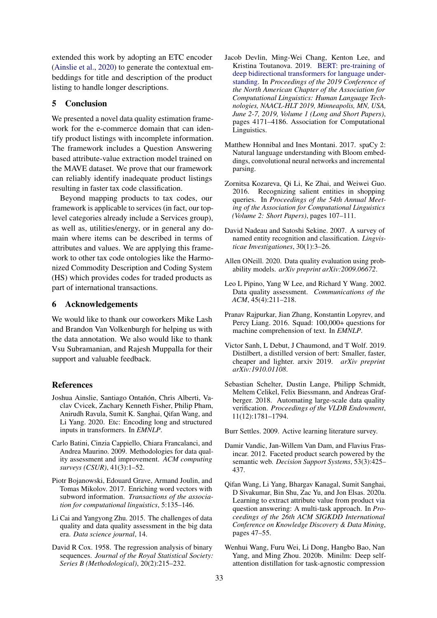extended this work by adopting an ETC encoder [\(Ainslie et al.,](#page-4-17) [2020\)](#page-4-17) to generate the contextual embeddings for title and description of the product listing to handle longer descriptions.

## 5 Conclusion

We presented a novel data quality estimation framework for the e-commerce domain that can identify product listings with incomplete information. The framework includes a Question Answering based attribute-value extraction model trained on the MAVE dataset. We prove that our framework can reliably identify inadequate product listings resulting in faster tax code classification.

Beyond mapping products to tax codes, our framework is applicable to services (in fact, our toplevel categories already include a Services group), as well as, utilities/energy, or in general any domain where items can be described in terms of attributes and values. We are applying this framework to other tax code ontologies like the Harmonized Commodity Description and Coding System (HS) which provides codes for traded products as part of international transactions.

### 6 Acknowledgements

We would like to thank our coworkers Mike Lash and Brandon Van Volkenburgh for helping us with the data annotation. We also would like to thank Vsu Subramanian, and Rajesh Muppalla for their support and valuable feedback.

#### References

- <span id="page-4-17"></span>Joshua Ainslie, Santiago Ontañón, Chris Alberti, Vaclav Cvicek, Zachary Kenneth Fisher, Philip Pham, Anirudh Ravula, Sumit K. Sanghai, Qifan Wang, and Li Yang. 2020. Etc: Encoding long and structured inputs in transformers. In *EMNLP*.
- <span id="page-4-8"></span>Carlo Batini, Cinzia Cappiello, Chiara Francalanci, and Andrea Maurino. 2009. Methodologies for data quality assessment and improvement. *ACM computing surveys (CSUR)*, 41(3):1–52.
- <span id="page-4-4"></span>Piotr Bojanowski, Edouard Grave, Armand Joulin, and Tomas Mikolov. 2017. Enriching word vectors with subword information. *Transactions of the association for computational linguistics*, 5:135–146.
- <span id="page-4-10"></span>Li Cai and Yangyong Zhu. 2015. The challenges of data quality and data quality assessment in the big data era. *Data science journal*, 14.
- <span id="page-4-2"></span>David R Cox. 1958. The regression analysis of binary sequences. *Journal of the Royal Statistical Society: Series B (Methodological)*, 20(2):215–232.
- <span id="page-4-0"></span>Jacob Devlin, Ming-Wei Chang, Kenton Lee, and Kristina Toutanova. 2019. [BERT: pre-training of](https://doi.org/10.18653/v1/n19-1423) [deep bidirectional transformers for language under](https://doi.org/10.18653/v1/n19-1423)[standing.](https://doi.org/10.18653/v1/n19-1423) In *Proceedings of the 2019 Conference of the North American Chapter of the Association for Computational Linguistics: Human Language Technologies, NAACL-HLT 2019, Minneapolis, MN, USA, June 2-7, 2019, Volume 1 (Long and Short Papers)*, pages 4171–4186. Association for Computational Linguistics.
- <span id="page-4-3"></span>Matthew Honnibal and Ines Montani. 2017. spaCy 2: Natural language understanding with Bloom embeddings, convolutional neural networks and incremental parsing.
- <span id="page-4-16"></span>Zornitsa Kozareva, Qi Li, Ke Zhai, and Weiwei Guo. 2016. Recognizing salient entities in shopping queries. In *Proceedings of the 54th Annual Meeting of the Association for Computational Linguistics (Volume 2: Short Papers)*, pages 107–111.
- <span id="page-4-14"></span>David Nadeau and Satoshi Sekine. 2007. A survey of named entity recognition and classification. *Lingvisticae Investigationes*, 30(1):3–26.
- <span id="page-4-11"></span>Allen ONeill. 2020. Data quality evaluation using probability models. *arXiv preprint arXiv:2009.06672*.
- <span id="page-4-9"></span>Leo L Pipino, Yang W Lee, and Richard Y Wang. 2002. Data quality assessment. *Communications of the ACM*, 45(4):211–218.
- <span id="page-4-7"></span>Pranav Rajpurkar, Jian Zhang, Konstantin Lopyrev, and Percy Liang. 2016. Squad: 100,000+ questions for machine comprehension of text. In *EMNLP*.
- <span id="page-4-5"></span>Victor Sanh, L Debut, J Chaumond, and T Wolf. 2019. Distilbert, a distilled version of bert: Smaller, faster, cheaper and lighter. arxiv 2019. *arXiv preprint arXiv:1910.01108*.
- <span id="page-4-12"></span>Sebastian Schelter, Dustin Lange, Philipp Schmidt, Meltem Celikel, Felix Biessmann, and Andreas Grafberger. 2018. Automating large-scale data quality verification. *Proceedings of the VLDB Endowment*, 11(12):1781–1794.

<span id="page-4-13"></span>Burr Settles. 2009. Active learning literature survey.

- <span id="page-4-15"></span>Damir Vandic, Jan-Willem Van Dam, and Flavius Frasincar. 2012. Faceted product search powered by the semantic web. *Decision Support Systems*, 53(3):425– 437.
- <span id="page-4-1"></span>Qifan Wang, Li Yang, Bhargav Kanagal, Sumit Sanghai, D Sivakumar, Bin Shu, Zac Yu, and Jon Elsas. 2020a. Learning to extract attribute value from product via question answering: A multi-task approach. In *Proceedings of the 26th ACM SIGKDD International Conference on Knowledge Discovery & Data Mining*, pages 47–55.
- <span id="page-4-6"></span>Wenhui Wang, Furu Wei, Li Dong, Hangbo Bao, Nan Yang, and Ming Zhou. 2020b. Minilm: Deep selfattention distillation for task-agnostic compression